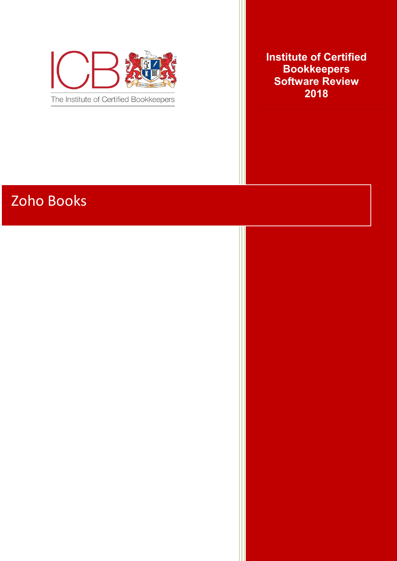

**Institute of Certified Bookkeepers Software Review 2018**

# Zoho Books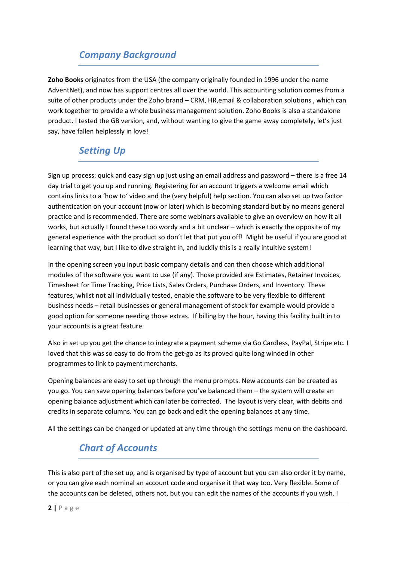# *Company Background*

**Zoho Books** originates from the USA (the company originally founded in 1996 under the name AdventNet), and now has support centres all over the world. This accounting solution comes from a suite of other products under the Zoho brand – CRM, HR,email & collaboration solutions , which can work together to provide a whole business management solution. Zoho Books is also a standalone product. I tested the GB version, and, without wanting to give the game away completely, let's just say, have fallen helplessly in love!

# *Setting Up*

Sign up process: quick and easy sign up just using an email address and password – there is a free 14 day trial to get you up and running. Registering for an account triggers a welcome email which contains links to a 'how to' video and the (very helpful) help section. You can also set up two factor authentication on your account (now or later) which is becoming standard but by no means general practice and is recommended. There are some webinars available to give an overview on how it all works, but actually I found these too wordy and a bit unclear – which is exactly the opposite of my general experience with the product so don't let that put you off! Might be useful if you are good at learning that way, but I like to dive straight in, and luckily this is a really intuitive system!

In the opening screen you input basic company details and can then choose which additional modules of the software you want to use (if any). Those provided are Estimates, Retainer Invoices, Timesheet for Time Tracking, Price Lists, Sales Orders, Purchase Orders, and Inventory. These features, whilst not all individually tested, enable the software to be very flexible to different business needs – retail businesses or general management of stock for example would provide a good option for someone needing those extras. If billing by the hour, having this facility built in to your accounts is a great feature.

Also in set up you get the chance to integrate a payment scheme via Go Cardless, PayPal, Stripe etc. I loved that this was so easy to do from the get-go as its proved quite long winded in other programmes to link to payment merchants.

Opening balances are easy to set up through the menu prompts. New accounts can be created as you go. You can save opening balances before you've balanced them – the system will create an opening balance adjustment which can later be corrected. The layout is very clear, with debits and credits in separate columns. You can go back and edit the opening balances at any time.

All the settings can be changed or updated at any time through the settings menu on the dashboard.

# *Chart of Accounts*

This is also part of the set up, and is organised by type of account but you can also order it by name, or you can give each nominal an account code and organise it that way too. Very flexible. Some of the accounts can be deleted, others not, but you can edit the names of the accounts if you wish. I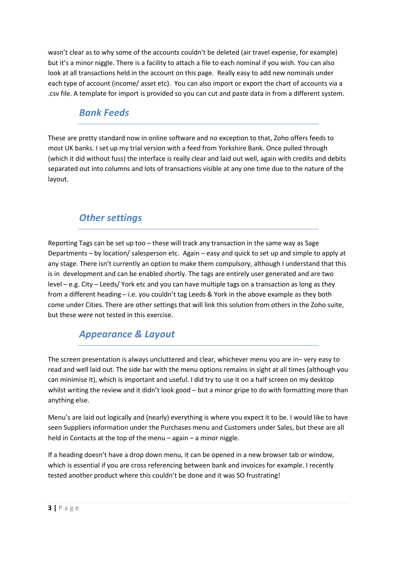wasn't clear as to why some of the accounts couldn't be deleted (air travel expense, for example) but it's a minor niggle. There is a facility to attach a file to each nominal if you wish. You can also look at all transactions held in the account on this page. Really easy to add new nominals under each type of account (income/ asset etc). You can also import or export the chart of accounts via a .csv file. A template for import is provided so you can cut and paste data in from a different system.

## *Bank Feeds*

These are pretty standard now in online software and no exception to that, Zoho offers feeds to most UK banks. I set up my trial version with a feed from Yorkshire Bank. Once pulled through (which it did without fuss) the interface is really clear and laid out well, again with credits and debits separated out into columns and lots of transactions visible at any one time due to the nature of the layout.

# *Other settings*

Reporting Tags can be set up too – these will track any transaction in the same way as Sage Departments – by location/ salesperson etc. Again – easy and quick to set up and simple to apply at any stage. There isn't currently an option to make them compulsory, although I understand that this is in development and can be enabled shortly. The tags are entirely user generated and are two level – e.g. City – Leeds/ York etc and you can have multiple tags on a transaction as long as they from a different heading – i.e. you couldn't tag Leeds & York in the above example as they both come under Cities. There are other settings that will link this solution from others in the Zoho suite, but these were not tested in this exercise.

# *Appearance & Layout*

The screen presentation is always uncluttered and clear, whichever menu you are in– very easy to read and well laid out. The side bar with the menu options remains in sight at all times (although you can minimise it), which is important and useful. I did try to use it on a half screen on my desktop whilst writing the review and it didn't look good – but a minor gripe to do with formatting more than anything else.

Menu's are laid out logically and (nearly) everything is where you expect it to be. I would like to have seen Suppliers information under the Purchases menu and Customers under Sales, but these are all held in Contacts at the top of the menu – again – a minor niggle.

If a heading doesn't have a drop down menu, it can be opened in a new browser tab or window, which is essential if you are cross referencing between bank and invoices for example. I recently tested another product where this couldn't be done and it was SO frustrating!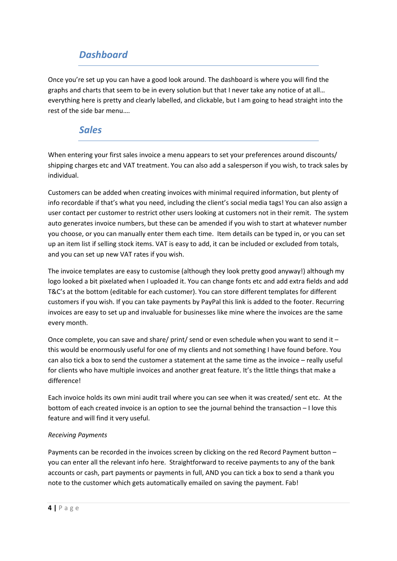## *Dashboard*

Once you're set up you can have a good look around. The dashboard is where you will find the graphs and charts that seem to be in every solution but that I never take any notice of at all… everything here is pretty and clearly labelled, and clickable, but I am going to head straight into the rest of the side bar menu….

#### *Sales*

When entering your first sales invoice a menu appears to set your preferences around discounts/ shipping charges etc and VAT treatment. You can also add a salesperson if you wish, to track sales by individual.

Customers can be added when creating invoices with minimal required information, but plenty of info recordable if that's what you need, including the client's social media tags! You can also assign a user contact per customer to restrict other users looking at customers not in their remit. The system auto generates invoice numbers, but these can be amended if you wish to start at whatever number you choose, or you can manually enter them each time. Item details can be typed in, or you can set up an item list if selling stock items. VAT is easy to add, it can be included or excluded from totals, and you can set up new VAT rates if you wish.

The invoice templates are easy to customise (although they look pretty good anyway!) although my logo looked a bit pixelated when I uploaded it. You can change fonts etc and add extra fields and add T&C's at the bottom (editable for each customer). You can store different templates for different customers if you wish. If you can take payments by PayPal this link is added to the footer. Recurring invoices are easy to set up and invaluable for businesses like mine where the invoices are the same every month.

Once complete, you can save and share/ print/ send or even schedule when you want to send it – this would be enormously useful for one of my clients and not something I have found before. You can also tick a box to send the customer a statement at the same time as the invoice – really useful for clients who have multiple invoices and another great feature. It's the little things that make a difference!

Each invoice holds its own mini audit trail where you can see when it was created/ sent etc. At the bottom of each created invoice is an option to see the journal behind the transaction – I love this feature and will find it very useful.

#### *Receiving Payments*

Payments can be recorded in the invoices screen by clicking on the red Record Payment button – you can enter all the relevant info here. Straightforward to receive payments to any of the bank accounts or cash, part payments or payments in full, AND you can tick a box to send a thank you note to the customer which gets automatically emailed on saving the payment. Fab!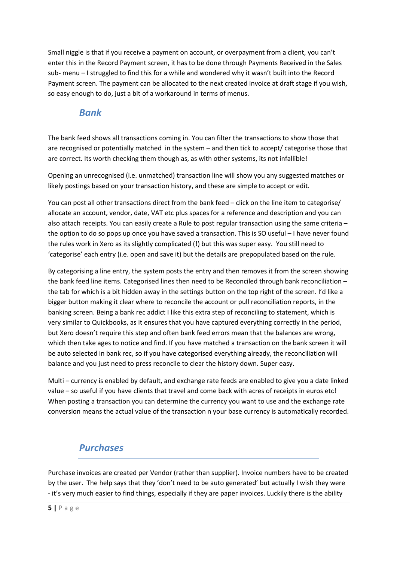Small niggle is that if you receive a payment on account, or overpayment from a client, you can't enter this in the Record Payment screen, it has to be done through Payments Received in the Sales sub- menu – I struggled to find this for a while and wondered why it wasn't built into the Record Payment screen. The payment can be allocated to the next created invoice at draft stage if you wish, so easy enough to do, just a bit of a workaround in terms of menus.

#### *Bank*

The bank feed shows all transactions coming in. You can filter the transactions to show those that are recognised or potentially matched in the system – and then tick to accept/ categorise those that are correct. Its worth checking them though as, as with other systems, its not infallible!

Opening an unrecognised (i.e. unmatched) transaction line will show you any suggested matches or likely postings based on your transaction history, and these are simple to accept or edit.

You can post all other transactions direct from the bank feed – click on the line item to categorise/ allocate an account, vendor, date, VAT etc plus spaces for a reference and description and you can also attach receipts. You can easily create a Rule to post regular transaction using the same criteria – the option to do so pops up once you have saved a transaction. This is SO useful – I have never found the rules work in Xero as its slightly complicated (!) but this was super easy. You still need to 'categorise' each entry (i.e. open and save it) but the details are prepopulated based on the rule.

By categorising a line entry, the system posts the entry and then removes it from the screen showing the bank feed line items. Categorised lines then need to be Reconciled through bank reconciliation – the tab for which is a bit hidden away in the settings button on the top right of the screen. I'd like a bigger button making it clear where to reconcile the account or pull reconciliation reports, in the banking screen. Being a bank rec addict I like this extra step of reconciling to statement, which is very similar to Quickbooks, as it ensures that you have captured everything correctly in the period, but Xero doesn't require this step and often bank feed errors mean that the balances are wrong, which then take ages to notice and find. If you have matched a transaction on the bank screen it will be auto selected in bank rec, so if you have categorised everything already, the reconciliation will balance and you just need to press reconcile to clear the history down. Super easy.

Multi – currency is enabled by default, and exchange rate feeds are enabled to give you a date linked value – so useful if you have clients that travel and come back with acres of receipts in euros etc! When posting a transaction you can determine the currency you want to use and the exchange rate conversion means the actual value of the transaction n your base currency is automatically recorded.

# *Purchases*

Purchase invoices are created per Vendor (rather than supplier). Invoice numbers have to be created by the user. The help says that they 'don't need to be auto generated' but actually I wish they were - it's very much easier to find things, especially if they are paper invoices. Luckily there is the ability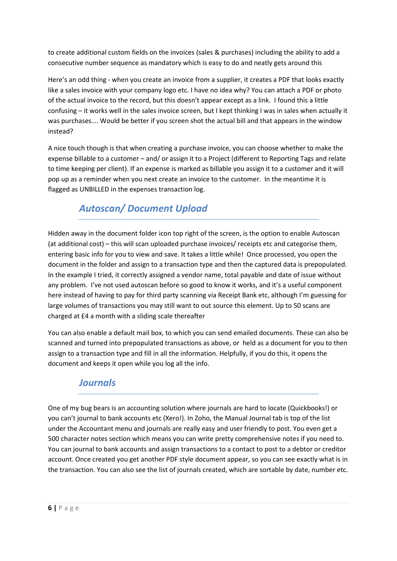to create additional custom fields on the invoices (sales & purchases) including the ability to add a consecutive number sequence as mandatory which is easy to do and neatly gets around this

Here's an odd thing - when you create an invoice from a supplier, it creates a PDF that looks exactly like a sales invoice with your company logo etc. I have no idea why? You can attach a PDF or photo of the actual invoice to the record, but this doesn't appear except as a link. I found this a little confusing – it works well in the sales invoice screen, but I kept thinking I was in sales when actually it was purchases…. Would be better if you screen shot the actual bill and that appears in the window instead?

A nice touch though is that when creating a purchase invoice, you can choose whether to make the expense billable to a customer – and/ or assign it to a Project (different to Reporting Tags and relate to time keeping per client). If an expense is marked as billable you assign it to a customer and it will pop up as a reminder when you next create an invoice to the customer. In the meantime it is flagged as UNBILLED in the expenses transaction log.

# *Autoscan/ Document Upload*

Hidden away in the document folder icon top right of the screen, is the option to enable Autoscan (at additional cost) – this will scan uploaded purchase invoices/ receipts etc and categorise them, entering basic info for you to view and save. It takes a little while! Once processed, you open the document in the folder and assign to a transaction type and then the captured data is prepopulated. In the example I tried, it correctly assigned a vendor name, total payable and date of issue without any problem. I've not used autoscan before so good to know it works, and it's a useful component here instead of having to pay for third party scanning via Receipt Bank etc, although I'm guessing for large volumes of transactions you may still want to out source this element. Up to 50 scans are charged at £4 a month with a sliding scale thereafter

You can also enable a default mail box, to which you can send emailed documents. These can also be scanned and turned into prepopulated transactions as above, or held as a document for you to then assign to a transaction type and fill in all the information. Helpfully, if you do this, it opens the document and keeps it open while you log all the info.

## *Journals*

One of my bug bears is an accounting solution where journals are hard to locate (Quickbooks!) or you can't journal to bank accounts etc (Xero!). In Zoho, the Manual Journal tab is top of the list under the Accountant menu and journals are really easy and user friendly to post. You even get a 500 character notes section which means you can write pretty comprehensive notes if you need to. You can journal to bank accounts and assign transactions to a contact to post to a debtor or creditor account. Once created you get another PDF style document appear, so you can see exactly what is in the transaction. You can also see the list of journals created, which are sortable by date, number etc.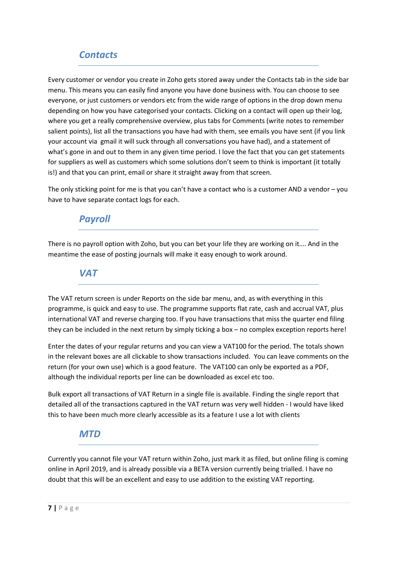#### *Contacts*

Every customer or vendor you create in Zoho gets stored away under the Contacts tab in the side bar menu. This means you can easily find anyone you have done business with. You can choose to see everyone, or just customers or vendors etc from the wide range of options in the drop down menu depending on how you have categorised your contacts. Clicking on a contact will open up their log, where you get a really comprehensive overview, plus tabs for Comments (write notes to remember salient points), list all the transactions you have had with them, see emails you have sent (if you link your account via gmail it will suck through all conversations you have had), and a statement of what's gone in and out to them in any given time period. I love the fact that you can get statements for suppliers as well as customers which some solutions don't seem to think is important (it totally is!) and that you can print, email or share it straight away from that screen.

The only sticking point for me is that you can't have a contact who is a customer AND a vendor – you have to have separate contact logs for each.

#### *Payroll*

There is no payroll option with Zoho, but you can bet your life they are working on it…. And in the meantime the ease of posting journals will make it easy enough to work around.

#### *VAT*

The VAT return screen is under Reports on the side bar menu, and, as with everything in this programme, is quick and easy to use. The programme supports flat rate, cash and accrual VAT, plus international VAT and reverse charging too. If you have transactions that miss the quarter end filing they can be included in the next return by simply ticking a box – no complex exception reports here!

Enter the dates of your regular returns and you can view a VAT100 for the period. The totals shown in the relevant boxes are all clickable to show transactions included. You can leave comments on the return (for your own use) which is a good feature. The VAT100 can only be exported as a PDF, although the individual reports per line can be downloaded as excel etc too.

Bulk export all transactions of VAT Return in a single file is available. Finding the single report that detailed all of the transactions captured in the VAT return was very well hidden - I would have liked this to have been much more clearly accessible as its a feature I use a lot with clients

#### *MTD*

Currently you cannot file your VAT return within Zoho, just mark it as filed, but online filing is coming online in April 2019, and is already possible via a BETA version currently being trialled. I have no doubt that this will be an excellent and easy to use addition to the existing VAT reporting.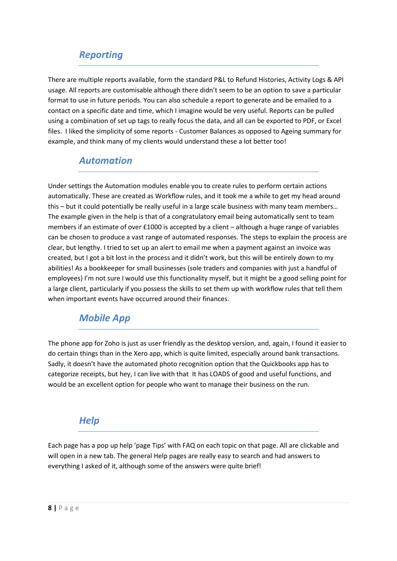## *Reporting*

There are multiple reports available, form the standard P&L to Refund Histories, Activity Logs & API usage. All reports are customisable although there didn't seem to be an option to save a particular format to use in future periods. You can also schedule a report to generate and be emailed to a contact on a specific date and time, which I imagine would be very useful. Reports can be pulled using a combination of set up tags to really focus the data, and all can be exported to PDF, or Excel files. I liked the simplicity of some reports - Customer Balances as opposed to Ageing summary for example, and think many of my clients would understand these a lot better too!

#### *Automation*

Under settings the Automation modules enable you to create rules to perform certain actions automatically. These are created as Workflow rules, and it took me a while to get my head around this – but it could potentially be really useful in a large scale business with many team members… The example given in the help is that of a congratulatory email being automatically sent to team members if an estimate of over £1000 is accepted by a client – although a huge range of variables can be chosen to produce a vast range of automated responses. The steps to explain the process are clear, but lengthy. I tried to set up an alert to email me when a payment against an invoice was created, but I got a bit lost in the process and it didn't work, but this will be entirely down to my abilities! As a bookkeeper for small businesses (sole traders and companies with just a handful of employees) I'm not sure I would use this functionality myself, but it might be a good selling point for a large client, particularly if you possess the skills to set them up with workflow rules that tell them when important events have occurred around their finances.

## *Mobile App*

The phone app for Zoho is just as user friendly as the desktop version, and, again, I found it easier to do certain things than in the Xero app, which is quite limited, especially around bank transactions. Sadly, it doesn't have the automated photo recognition option that the Quickbooks app has to categorize receipts, but hey, I can live with that It has LOADS of good and useful functions, and would be an excellent option for people who want to manage their business on the run.

#### *Help*

Each page has a pop up help 'page Tips' with FAQ on each topic on that page. All are clickable and will open in a new tab. The general Help pages are really easy to search and had answers to everything I asked of it, although some of the answers were quite brief!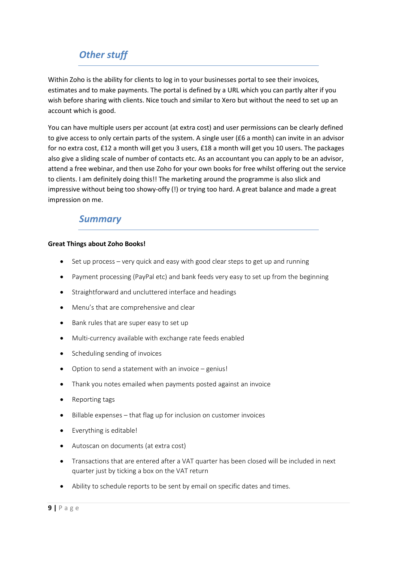# *Other stuff*

Within Zoho is the ability for clients to log in to your businesses portal to see their invoices, estimates and to make payments. The portal is defined by a URL which you can partly alter if you wish before sharing with clients. Nice touch and similar to Xero but without the need to set up an account which is good.

You can have multiple users per account (at extra cost) and user permissions can be clearly defined to give access to only certain parts of the system. A single user (£6 a month) can invite in an advisor for no extra cost, £12 a month will get you 3 users, £18 a month will get you 10 users. The packages also give a sliding scale of number of contacts etc. As an accountant you can apply to be an advisor, attend a free webinar, and then use Zoho for your own books for free whilst offering out the service to clients. I am definitely doing this!! The marketing around the programme is also slick and impressive without being too showy-offy (!) or trying too hard. A great balance and made a great impression on me.

#### *Summary*

#### **Great Things about Zoho Books!**

- Set up process very quick and easy with good clear steps to get up and running
- Payment processing (PayPal etc) and bank feeds very easy to set up from the beginning
- Straightforward and uncluttered interface and headings
- Menu's that are comprehensive and clear
- Bank rules that are super easy to set up
- Multi-currency available with exchange rate feeds enabled
- Scheduling sending of invoices
- Option to send a statement with an invoice genius!
- Thank you notes emailed when payments posted against an invoice
- Reporting tags
- Billable expenses that flag up for inclusion on customer invoices
- Everything is editable!
- Autoscan on documents (at extra cost)
- Transactions that are entered after a VAT quarter has been closed will be included in next quarter just by ticking a box on the VAT return
- Ability to schedule reports to be sent by email on specific dates and times.